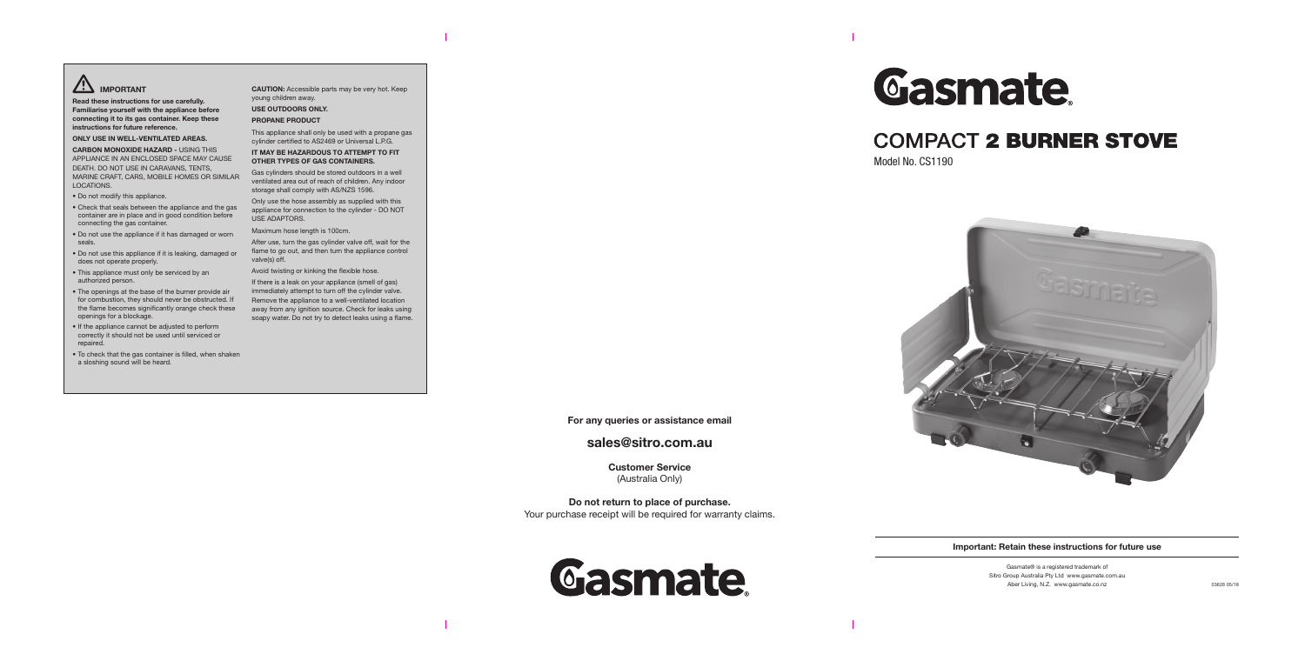# **IMPORTANT**

**Read these instructions for use carefully. Familiarise yourself with the appliance before connecting it to its gas container. Keep these instructions for future reference.**

**ONLY USE IN WELL-VENTILATED AREAS.**

**CARBON MONOXIDE HAZARD -** USING THIS APPLIANCE IN AN ENCLOSED SPACE MAY CAUSE DEATH. DO NOT USE IN CARAVANS, TENTS, MARINE CRAFT, CARS, MOBILE HOMES OR SIMILAR LOCATIONS.

- Do not modify this appliance.
- Check that seals between the appliance and the gas container are in place and in good condition before connecting the gas container.
- Do not use the appliance if it has damaged or worn seals.
- Do not use this appliance if it is leaking, damaged or does not operate properly.
- This appliance must only be serviced by an authorized person.
- The openings at the base of the burner provide air for combustion, they should never be obstructed. If the flame becomes significantly orange check these openings for a blockage.
- If the appliance cannot be adjusted to perform correctly it should not be used until serviced or repaired.
- To check that the gas container is filled, when shaken a sloshing sound will be heard.

# **COMPACT 2 BURNER STOVE** Model No. CS1190



**CAUTION:** Accessible parts may be very hot. Keep young children away.

#### **USE OUTDOORS ONLY.**

#### **PROPANE PRODUCT**

This appliance shall only be used with a propane gas cylinder certified to AS2469 or Universal L.P.G.

#### **IT MAY BE HAZARDOUS TO ATTEMPT TO FIT OTHER TYPES OF GAS CONTAINERS.**

Gas cylinders should be stored outdoors in a well ventilated area out of reach of children. Any indoor storage shall comply with AS/NZS 1596.

Only use the hose assembly as supplied with this appliance for connection to the cylinder - DO NOT USE ADAPTORS.

Maximum hose length is 100cm.

After use, turn the gas cylinder valve off, wait for the flame to go out, and then turn the appliance control valve(s) off.

Avoid twisting or kinking the flexible hose.

If there is a leak on your appliance (smell of gas) immediately attempt to turn off the cylinder valve. Remove the appliance to a well-ventilated location away from any ignition source. Check for leaks using soapy water. Do not try to detect leaks using a flame.



## **For any queries or assistance email**

# **sales@sitro.com.au**

**Customer Service** (Australia Only)

**Do not return to place of purchase.** Your purchase receipt will be required for warranty claims.





### **Important: Retain these instructions for future use**

Gasmate® is a registered trademark of Sitro Group Australia Pty Ltd www.gasmate.com.au Aber Living, N.Z. www.gasmate.co.nz